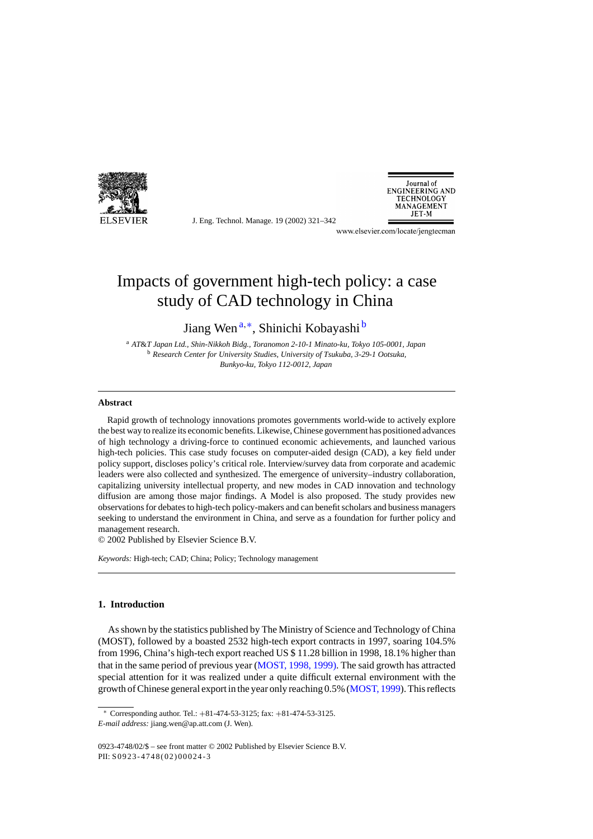

J. Eng. Technol. Manage. 19 (2002) 321–342



www.elsevier.com/locate/jengtecman

## Impacts of government high-tech policy: a case study of CAD technology in China

Jiang Wen <sup>a</sup>,∗, Shinichi Kobayashi <sup>b</sup>

<sup>a</sup> *AT*&*T Japan Ltd., Shin-Nikkoh Bidg., Toranomon 2-10-1 Minato-ku, Tokyo 105-0001, Japan* <sup>b</sup> *Research Center for University Studies, University of Tsukuba, 3-29-1 Ootsuka, Bunkyo-ku, Tokyo 112-0012, Japan*

### **Abstract**

Rapid growth of technology innovations promotes governments world-wide to actively explore the best way to realize its economic benefits. Likewise, Chinese government has positioned advances of high technology a driving-force to continued economic achievements, and launched various high-tech policies. This case study focuses on computer-aided design (CAD), a key field under policy support, discloses policy's critical role. Interview/survey data from corporate and academic leaders were also collected and synthesized. The emergence of university–industry collaboration, capitalizing university intellectual property, and new modes in CAD innovation and technology diffusion are among those major findings. A Model is also proposed. The study provides new observations for debates to high-tech policy-makers and can benefit scholars and business managers seeking to understand the environment in China, and serve as a foundation for further policy and management research.

© 2002 Published by Elsevier Science B.V.

*Keywords:* High-tech; CAD; China; Policy; Technology management

## **1. Introduction**

As shown by the statistics published by The Ministry of Science and Technology of China (MOST), followed by a boasted 2532 high-tech export contracts in 1997, soaring 104.5% from 1996, China's high-tech export reached US \$ 11.28 billion in 1998, 18.1% higher than that in the same period of previous year [\(MOST, 1998, 1999\). T](#page--1-0)he said growth has attracted special attention for it was realized under a quite difficult external environment with the growth of Chinese general export in the year only reaching 0.5% [\(MOST, 1999\).](#page--1-0) This reflects

<sup>∗</sup> Corresponding author. Tel.: +81-474-53-3125; fax: +81-474-53-3125. *E-mail address:* jiang.wen@ap.att.com (J. Wen).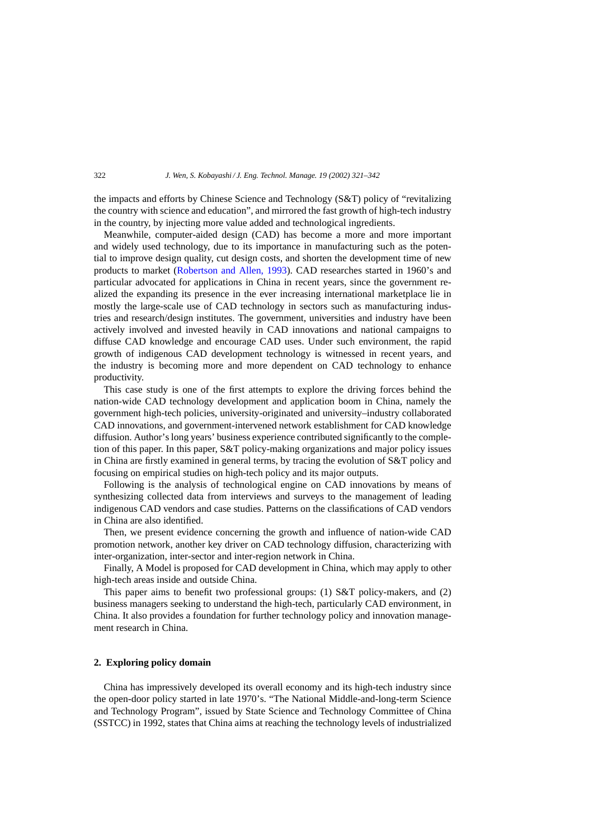the impacts and efforts by Chinese Science and Technology (S&T) policy of "revitalizing the country with science and education", and mirrored the fast growth of high-tech industry in the country, by injecting more value added and technological ingredients.

Meanwhile, computer-aided design (CAD) has become a more and more important and widely used technology, due to its importance in manufacturing such as the potential to improve design quality, cut design costs, and shorten the development time of new products to market ([Robertson and Allen, 1993\)](#page--1-0). CAD researches started in 1960's and particular advocated for applications in China in recent years, since the government realized the expanding its presence in the ever increasing international marketplace lie in mostly the large-scale use of CAD technology in sectors such as manufacturing industries and research/design institutes. The government, universities and industry have been actively involved and invested heavily in CAD innovations and national campaigns to diffuse CAD knowledge and encourage CAD uses. Under such environment, the rapid growth of indigenous CAD development technology is witnessed in recent years, and the industry is becoming more and more dependent on CAD technology to enhance productivity.

This case study is one of the first attempts to explore the driving forces behind the nation-wide CAD technology development and application boom in China, namely the government high-tech policies, university-originated and university–industry collaborated CAD innovations, and government-intervened network establishment for CAD knowledge diffusion. Author's long years' business experience contributed significantly to the completion of this paper. In this paper, S&T policy-making organizations and major policy issues in China are firstly examined in general terms, by tracing the evolution of S&T policy and focusing on empirical studies on high-tech policy and its major outputs.

Following is the analysis of technological engine on CAD innovations by means of synthesizing collected data from interviews and surveys to the management of leading indigenous CAD vendors and case studies. Patterns on the classifications of CAD vendors in China are also identified.

Then, we present evidence concerning the growth and influence of nation-wide CAD promotion network, another key driver on CAD technology diffusion, characterizing with inter-organization, inter-sector and inter-region network in China.

Finally, A Model is proposed for CAD development in China, which may apply to other high-tech areas inside and outside China.

This paper aims to benefit two professional groups: (1) S&T policy-makers, and (2) business managers seeking to understand the high-tech, particularly CAD environment, in China. It also provides a foundation for further technology policy and innovation management research in China.

### **2. Exploring policy domain**

China has impressively developed its overall economy and its high-tech industry since the open-door policy started in late 1970's. "The National Middle-and-long-term Science and Technology Program", issued by State Science and Technology Committee of China (SSTCC) in 1992, states that China aims at reaching the technology levels of industrialized